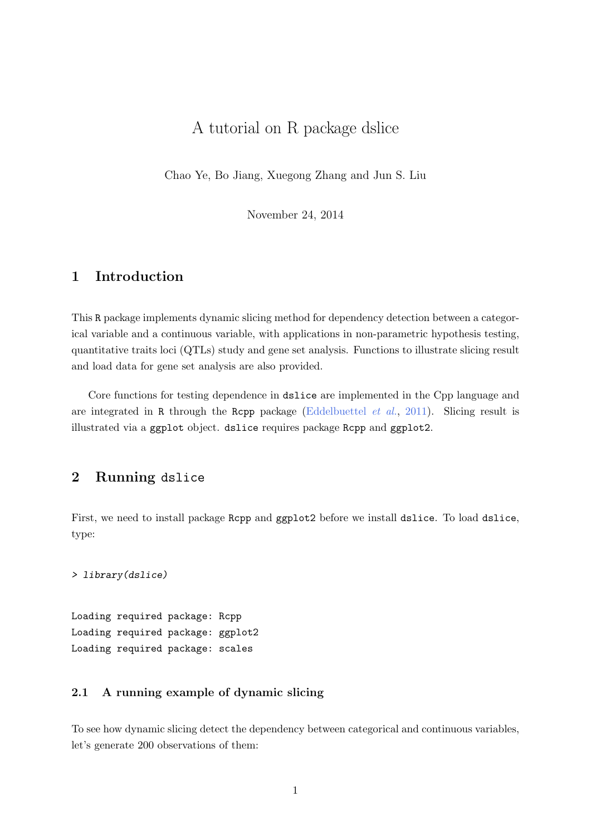# A tutorial on R package dslice

Chao Ye, Bo Jiang, Xuegong Zhang and Jun S. Liu

November 24, 2014

## 1 Introduction

This R package implements dynamic slicing method for dependency detection between a categorical variable and a continuous variable, with applications in non-parametric hypothesis testing, quantitative traits loci (QTLs) study and gene set analysis. Functions to illustrate slicing result and load data for gene set analysis are also provided.

Core functions for testing dependence in dslice are implemented in the Cpp language and are integrated in R through the Rcpp package [\(Eddelbuettel](#page-10-0) *et al.*, [2011\)](#page-10-0). Slicing result is illustrated via a ggplot object. dslice requires package Rcpp and ggplot2.

## 2 Running dslice

First, we need to install package Rcpp and ggplot2 before we install dslice. To load dslice, type:

> library(dslice)

Loading required package: Rcpp Loading required package: ggplot2 Loading required package: scales

## 2.1 A running example of dynamic slicing

To see how dynamic slicing detect the dependency between categorical and continuous variables, let's generate 200 observations of them: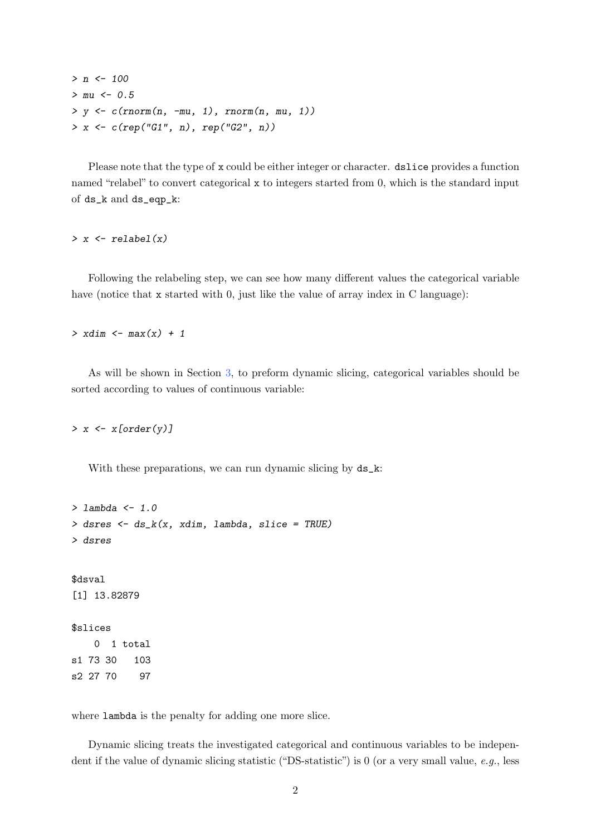```
> n <- 100
> mu < -0.5> y \leftarrow c (rnorm(n, -mu, 1), rnorm(n, mu, 1))> x < -c(rep("G1", n), rep("G2", n))
```
Please note that the type of x could be either integer or character. dslice provides a function named "relabel" to convert categorical x to integers started from 0, which is the standard input of ds\_k and ds\_eqp\_k:

 $> x \leftarrow$  relabel(x)

Following the relabeling step, we can see how many different values the categorical variable have (notice that x started with 0, just like the value of array index in C language):

 $>$  xdim  $\leq$  max $(x)$  + 1

As will be shown in Section [3,](#page-6-0) to preform dynamic slicing, categorical variables should be sorted according to values of continuous variable:

 $> x \leftarrow x[order(y)]$ 

With these preparations, we can run dynamic slicing by  $ds_k$ :

```
> lambda <- 1.0
> dsres <- ds_k(x, xdim, lambda, slice = TRUE)
> dsres
$dsval
[1] 13.82879
$slices
   0 1 total
s1 73 30 103
s2 27 70 97
```
where lambda is the penalty for adding one more slice.

Dynamic slicing treats the investigated categorical and continuous variables to be independent if the value of dynamic slicing statistic ("DS-statistic") is 0 (or a very small value, e.g., less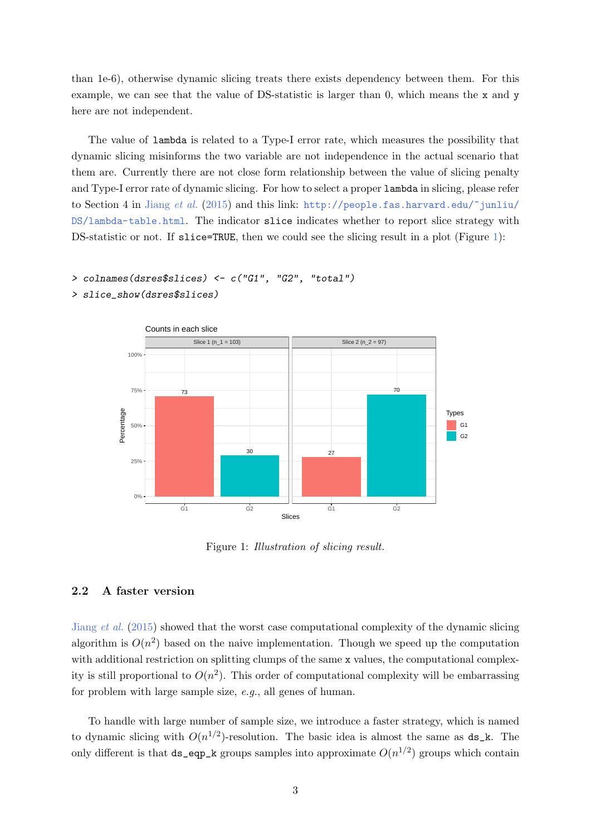than 1e-6), otherwise dynamic slicing treats there exists dependency between them. For this example, we can see that the value of DS-statistic is larger than 0, which means the x and y here are not independent.

The value of lambda is related to a Type-I error rate, which measures the possibility that dynamic slicing misinforms the two variable are not independence in the actual scenario that them are. Currently there are not close form relationship between the value of slicing penalty and Type-I error rate of dynamic slicing. For how to select a proper lambda in slicing, please refer to Section 4 in [Jiang](#page-10-1) et al. [\(2015\)](#page-10-1) and this link: http://people.fas.harvard.edu/"junliu/ [DS/lambda-table.html](http://people.fas.harvard.edu/~junliu/DS/lambda-table.html). The indicator slice indicates whether to report slice strategy with DS-statistic or not. If slice=TRUE, then we could see the slicing result in a plot (Figure [1\)](#page-2-0):

```
> colnames(dsres$slices) <- c("G1", "G2", "total")
```
> slice\_show(dsres\$slices)



<span id="page-2-0"></span>Figure 1: Illustration of slicing result.

### 2.2 A faster version

[Jiang](#page-10-1) et al. [\(2015\)](#page-10-1) showed that the worst case computational complexity of the dynamic slicing algorithm is  $O(n^2)$  based on the naive implementation. Though we speed up the computation with additional restriction on splitting clumps of the same x values, the computational complexity is still proportional to  $O(n^2)$ . This order of computational complexity will be embarrassing for problem with large sample size, e.g., all genes of human.

To handle with large number of sample size, we introduce a faster strategy, which is named to dynamic slicing with  $O(n^{1/2})$ -resolution. The basic idea is almost the same as  $ds_k$ . The only different is that  $ds$  eqp k groups samples into approximate  $O(n^{1/2})$  groups which contain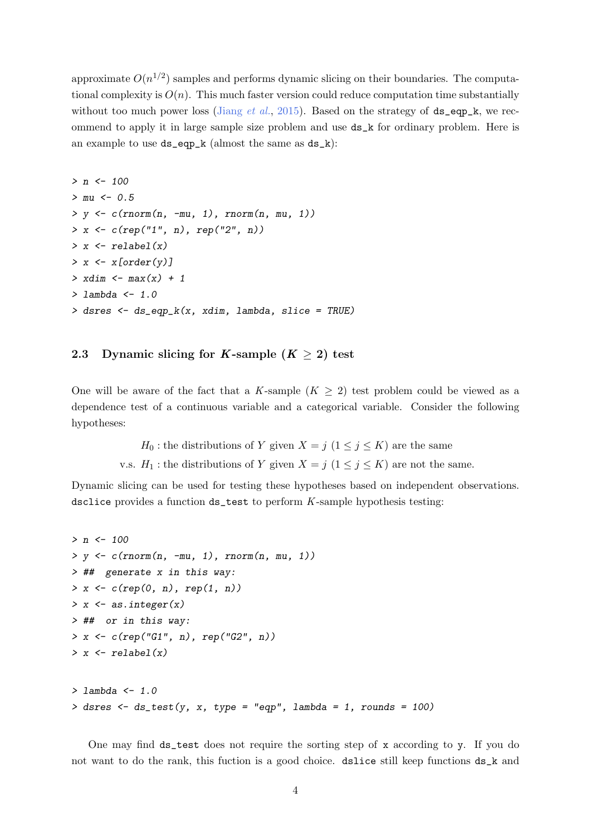approximate  $O(n^{1/2})$  samples and performs dynamic slicing on their boundaries. The computational complexity is  $O(n)$ . This much faster version could reduce computation time substantially without too much power loss [\(Jiang](#page-10-1) *et al.*, [2015\)](#page-10-1). Based on the strategy of  $ds_{eq}p_{k}$ , we recommend to apply it in large sample size problem and use ds\_k for ordinary problem. Here is an example to use ds\_eqp\_k (almost the same as ds\_k):

```
> n < - 100> mu < -0.5> y \leftarrow c(rnorm(n, -mu, 1), rnorm(n, mu, 1))> x < -c(rep("1", n), rep("2", n))> x \leftarrow relabel(x)
> x \leftarrow x[order(y)]> xdim \leq max(x) + 1
> lambda <-1.0> dsres <- ds_eqp_k(x, xdim, lambda, slice = TRUE)
```
## 2.3 Dynamic slicing for K-sample  $(K > 2)$  test

One will be aware of the fact that a K-sample  $(K \geq 2)$  test problem could be viewed as a dependence test of a continuous variable and a categorical variable. Consider the following hypotheses:

 $H_0$ : the distributions of Y given  $X = j \ (1 \leq j \leq K)$  are the same

v.s.  $H_1$ : the distributions of Y given  $X = j \ (1 \leq j \leq K)$  are not the same.

Dynamic slicing can be used for testing these hypotheses based on independent observations. dsclice provides a function ds\_test to perform K-sample hypothesis testing:

```
> n < - 100> y \leftarrow c(rnorm(n, -mu, 1), rnorm(n, mu, 1))> ## generate x in this way:
> x < -c(rep(0, n), rep(1, n))> x \leftarrow as.integer(x)> ## or in this way:
> x \leq c (rep("G1", n), rep("G2", n))
> x \leftarrow relabel(x)
> lambda <-1.0> dsres \le ds_test(y, x, type = "eqp", lambda = 1, rounds = 100)
```
One may find  $ds$  test does not require the sorting step of x according to y. If you do not want to do the rank, this fuction is a good choice. dslice still keep functions ds\_k and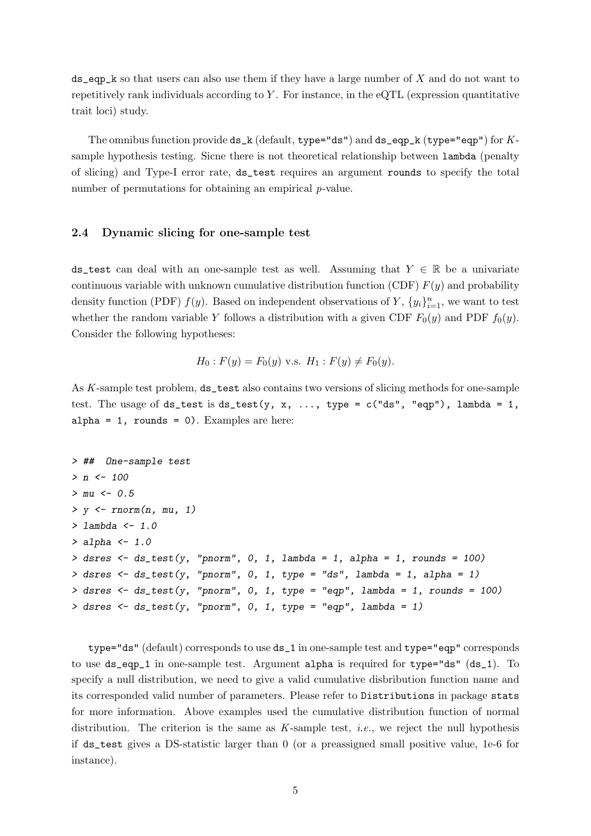$ds$  eqp<sub>k</sub> so that users can also use them if they have a large number of X and do not want to repetitively rank individuals according to Y. For instance, in the eQTL (expression quantitative trait loci) study.

The omnibus function provide  $ds_k$  (default, type="ds") and  $ds_e$  eqp\_k (type="eqp") for Ksample hypothesis testing. Sicne there is not theoretical relationship between lambda (penalty of slicing) and Type-I error rate, ds\_test requires an argument rounds to specify the total number of permutations for obtaining an empirical *p*-value.

### 2.4 Dynamic slicing for one-sample test

ds\_test can deal with an one-sample test as well. Assuming that  $Y \in \mathbb{R}$  be a univariate continuous variable with unknown cumulative distribution function (CDF)  $F(y)$  and probability density function (PDF)  $f(y)$ . Based on independent observations of Y,  $\{y_i\}_{i=1}^n$ , we want to test whether the random variable Y follows a distribution with a given CDF  $F_0(y)$  and PDF  $f_0(y)$ . Consider the following hypotheses:

$$
H_0: F(y) = F_0(y)
$$
 v.s.  $H_1: F(y) \neq F_0(y)$ .

As K-sample test problem, ds\_test also contains two versions of slicing methods for one-sample test. The usage of ds\_test is ds\_test(y, x, ..., type =  $c("ds", "eqp"), lambda = 1,$  $alpha = 1$ , rounds = 0). Examples are here:

```
> ## One-sample test
> n < - 100> mu < -0.5> y < -rnorm(n, mu, 1)> lambda <- 1.0
> alpha <-1.0> dsres \le ds_test(y, "pnorm", 0, 1, lambda = 1, alpha = 1, rounds = 100)
> dsres \le ds_test(y, "pnorm", 0, 1, type = "ds", lambda = 1, alpha = 1)
> dsres \le ds_test(y, "pnorm", 0, 1, type = "eqp", lambda = 1, rounds = 100)
> dsres \leq ds_test(y, "pnorm", 0, 1, type = "eqp", lambda = 1)
```
type="ds" (default) corresponds to use ds\_1 in one-sample test and type="eqp" corresponds to use ds\_eqp\_1 in one-sample test. Argument alpha is required for type="ds" (ds\_1). To specify a null distribution, we need to give a valid cumulative disbribution function name and its corresponded valid number of parameters. Please refer to Distributions in package stats for more information. Above examples used the cumulative distribution function of normal distribution. The criterion is the same as  $K$ -sample test, *i.e.*, we reject the null hypothesis if ds\_test gives a DS-statistic larger than 0 (or a preassigned small positive value, 1e-6 for instance).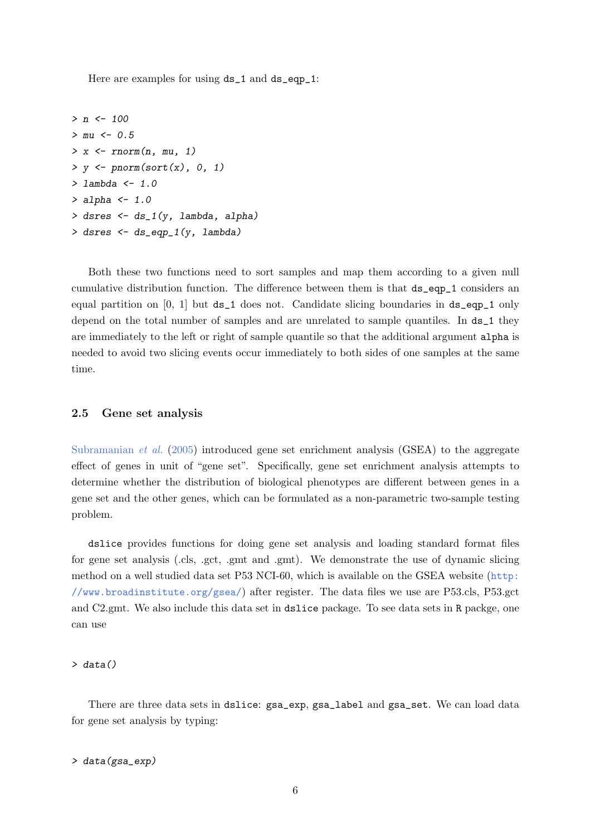Here are examples for using  $ds_1$  and  $ds_eqp_1$ :

```
> n <- 100
> mu < -0.5> x < -rnorm(n, mu, 1)> y \leftarrow pnorm(sort(x), 0, 1)> lambda <-1.0> alpha <-1.0> dsres <- ds_1(y, lambda, alpha)
> dsres <- ds_eqp_1(y, lambda)
```
Both these two functions need to sort samples and map them according to a given null cumulative distribution function. The difference between them is that ds\_eqp\_1 considers an equal partition on  $[0, 1]$  but ds\_1 does not. Candidate slicing boundaries in ds\_eqp\_1 only depend on the total number of samples and are unrelated to sample quantiles. In  $ds_1$  they are immediately to the left or right of sample quantile so that the additional argument alpha is needed to avoid two slicing events occur immediately to both sides of one samples at the same time.

#### 2.5 Gene set analysis

[Subramanian](#page-10-2) et al. [\(2005\)](#page-10-2) introduced gene set enrichment analysis (GSEA) to the aggregate effect of genes in unit of "gene set". Specifically, gene set enrichment analysis attempts to determine whether the distribution of biological phenotypes are different between genes in a gene set and the other genes, which can be formulated as a non-parametric two-sample testing problem.

dslice provides functions for doing gene set analysis and loading standard format files for gene set analysis (.cls, .gct, .gmt and .gmt). We demonstrate the use of dynamic slicing method on a well studied data set P53 NCI-60, which is available on the GSEA website ([http:](http://www.broadinstitute.org/gsea/) [//www.broadinstitute.org/gsea/](http://www.broadinstitute.org/gsea/)) after register. The data files we use are P53.cls, P53.gct and C2.gmt. We also include this data set in dslice package. To see data sets in R packge, one can use

#### > data()

There are three data sets in dslice:  $gsa$ <sub>-exp</sub>,  $gsa$ <sub>-label</sub> and  $gsa$ <sub>-set.</sub> We can load data for gene set analysis by typing:

#### > data(gsa\_exp)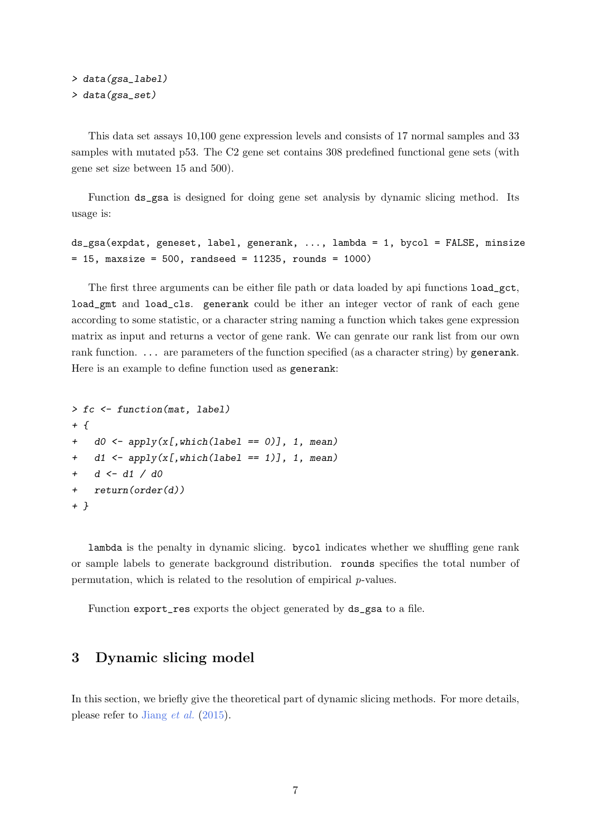```
> data(gsa_label)
> data(gsa_set)
```
This data set assays 10,100 gene expression levels and consists of 17 normal samples and 33 samples with mutated p53. The C2 gene set contains 308 predefined functional gene sets (with gene set size between 15 and 500).

Function ds\_gsa is designed for doing gene set analysis by dynamic slicing method. Its usage is:

```
ds_gsa(expdat, geneset, label, generank, ..., lambda = 1, bycol = FALSE, minsize
= 15, maxsize = 500, randseed = 11235, rounds = 1000)
```
The first three arguments can be either file path or data loaded by api functions load\_gct, load\_gmt and load\_cls. generank could be ither an integer vector of rank of each gene according to some statistic, or a character string naming a function which takes gene expression matrix as input and returns a vector of gene rank. We can genrate our rank list from our own rank function. ... are parameters of the function specified (as a character string) by generank. Here is an example to define function used as generank:

```
> fc <- function(mat, label)
+ f+ d0 \leftarrow apply(x[, which (label == 0)], 1, mean)+ d1 \leftarrow apply(x[, which (label == 1)], 1, mean)+ d <- d1 / d0
+ return(order(d))
+ }
```
lambda is the penalty in dynamic slicing. bycol indicates whether we shuffling gene rank or sample labels to generate background distribution. rounds specifies the total number of permutation, which is related to the resolution of empirical p-values.

Function export\_res exports the object generated by ds\_gsa to a file.

## <span id="page-6-0"></span>3 Dynamic slicing model

In this section, we briefly give the theoretical part of dynamic slicing methods. For more details, please refer to [Jiang](#page-10-1) et al. [\(2015\)](#page-10-1).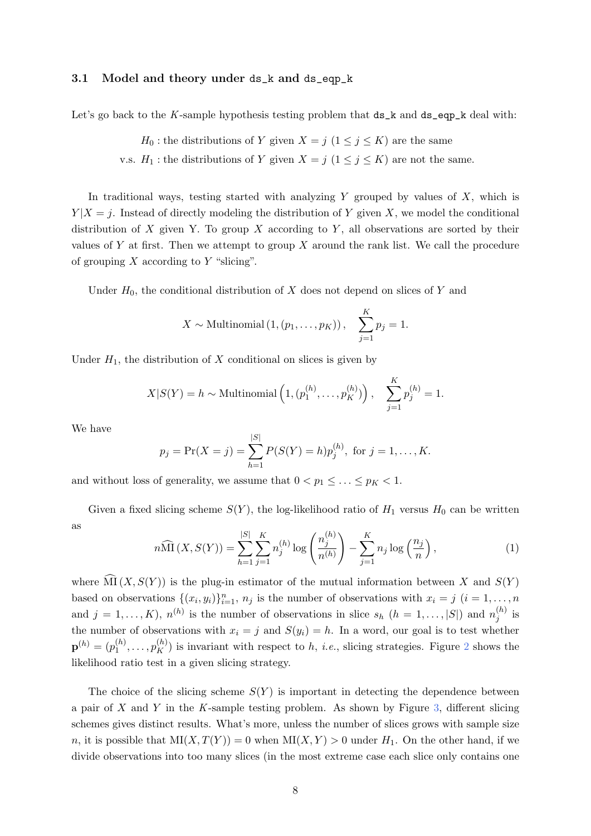#### 3.1 Model and theory under ds\_k and ds\_eqp\_k

Let's go back to the K-sample hypothesis testing problem that  $ds_k$  and  $ds_{eq}p_k$  deal with:

$$
H_0
$$
: the distributions of Y given  $X = j$   $(1 \le j \le K)$  are the same

v.s.  $H_1$ : the distributions of Y given  $X = j \ (1 \leq j \leq K)$  are not the same.

In traditional ways, testing started with analyzing Y grouped by values of  $X$ , which is  $Y|X=j$ . Instead of directly modeling the distribution of Y given X, we model the conditional distribution of X given Y. To group X according to Y, all observations are sorted by their values of Y at first. Then we attempt to group  $X$  around the rank list. We call the procedure of grouping  $X$  according to  $Y$  "slicing".

Under  $H_0$ , the conditional distribution of X does not depend on slices of Y and

$$
X \sim
$$
Multinomial  $(1, (p_1, \ldots, p_K)), \sum_{j=1}^{K} p_j = 1.$ 

Under  $H_1$ , the distribution of X conditional on slices is given by

$$
X|S(Y) = h \sim \text{Multinomial}\left(1, (p_1^{(h)}, \dots, p_K^{(h)})\right), \quad \sum_{j=1}^K p_j^{(h)} = 1.
$$

We have

$$
p_j = Pr(X = j) = \sum_{h=1}^{|S|} P(S(Y) = h)p_j^{(h)}
$$
, for  $j = 1, ..., K$ .

and without loss of generality, we assume that  $0 < p_1 \leq \ldots \leq p_K < 1$ .

Given a fixed slicing scheme  $S(Y)$ , the log-likelihood ratio of  $H_1$  versus  $H_0$  can be written as

$$
n\widehat{\text{MI}}\left(X, S(Y)\right) = \sum_{h=1}^{|S|} \sum_{j=1}^{K} n_j^{(h)} \log \left(\frac{n_j^{(h)}}{n^{(h)}}\right) - \sum_{j=1}^{K} n_j \log \left(\frac{n_j}{n}\right),\tag{1}
$$

where  $\widehat{\text{MI}}(X, S(Y))$  is the plug-in estimator of the mutual information between X and  $S(Y)$ based on observations  $\{(x_i, y_i)\}_{i=1}^n$ ,  $n_j$  is the number of observations with  $x_i = j$   $(i = 1, ..., n$ and  $j = 1, ..., K$ ,  $n^{(h)}$  is the number of observations in slice  $s_h$   $(h = 1, ..., |S|)$  and  $n_j^{(h)}$  $j^{(n)}$  is the number of observations with  $x_i = j$  and  $S(y_i) = h$ . In a word, our goal is to test whether  $\mathbf{p}^{(h)}=(p_1^{(h)}$  $\mathbf{1}_{1}^{(h)},\ldots,\mathbf{p}_{K}^{(h)}$  is invariant with respect to h, *i.e.*, slicing strategies. Figure [2](#page-8-0) shows the likelihood ratio test in a given slicing strategy.

The choice of the slicing scheme  $S(Y)$  is important in detecting the dependence between a pair of  $X$  and  $Y$  in the  $K$ -sample testing problem. As shown by Figure [3,](#page-8-1) different slicing schemes gives distinct results. What's more, unless the number of slices grows with sample size n, it is possible that  $MI(X, T(Y)) = 0$  when  $MI(X, Y) > 0$  under  $H_1$ . On the other hand, if we divide observations into too many slices (in the most extreme case each slice only contains one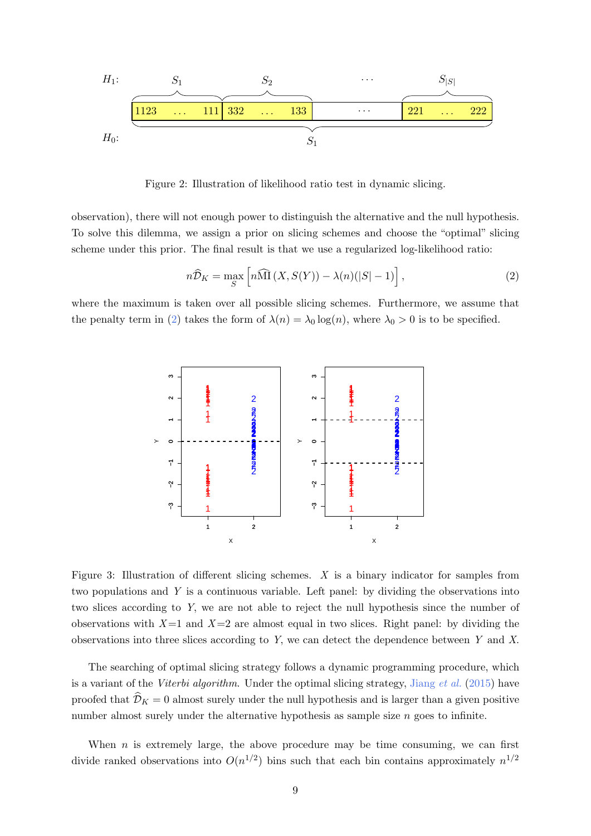

<span id="page-8-0"></span>Figure 2: Illustration of likelihood ratio test in dynamic slicing.

observation), there will not enough power to distinguish the alternative and the null hypothesis. To solve this dilemma, we assign a prior on slicing schemes and choose the "optimal" slicing scheme under this prior. The final result is that we use a regularized log-likelihood ratio:

<span id="page-8-2"></span>
$$
n\widehat{\mathcal{D}}_K = \max_S \left[ n\widehat{\mathcal{M}}\left(X, S(Y)\right) - \lambda(n)(|S| - 1) \right],\tag{2}
$$

where the maximum is taken over all possible slicing schemes. Furthermore, we assume that the penalty term in [\(2\)](#page-8-2) takes the form of  $\lambda(n) = \lambda_0 \log(n)$ , where  $\lambda_0 > 0$  is to be specified.



<span id="page-8-1"></span>Figure 3: Illustration of different slicing schemes. X is a binary indicator for samples from two populations and Y is a continuous variable. Left panel: by dividing the observations into two slices according to Y, we are not able to reject the null hypothesis since the number of observations with  $X=1$  and  $X=2$  are almost equal in two slices. Right panel: by dividing the observations into three slices according to Y, we can detect the dependence between Y and X.

The searching of optimal slicing strategy follows a dynamic programming procedure, which is a variant of the Viterbi algorithm. Under the optimal slicing strategy, [Jiang](#page-10-1) et al. [\(2015\)](#page-10-1) have proofed that  $\mathcal{D}_K = 0$  almost surely under the null hypothesis and is larger than a given positive number almost surely under the alternative hypothesis as sample size  $n$  goes to infinite.

When  $n$  is extremely large, the above procedure may be time consuming, we can first divide ranked observations into  $O(n^{1/2})$  bins such that each bin contains approximately  $n^{1/2}$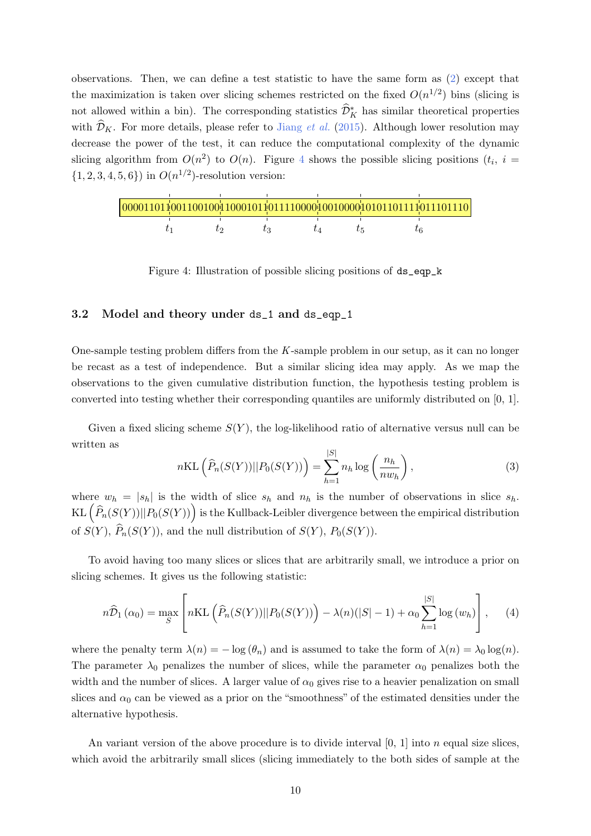observations. Then, we can define a test statistic to have the same form as [\(2\)](#page-8-2) except that the maximization is taken over slicing schemes restricted on the fixed  $O(n^{1/2})$  bins (slicing is not allowed within a bin). The corresponding statistics  $\widehat{\mathcal{D}}_K^*$  has similar theoretical properties with  $\mathcal{D}_K$ . For more details, please refer to [Jiang](#page-10-1) *et al.* [\(2015\)](#page-10-1). Although lower resolution may decrease the power of the test, it can reduce the computational complexity of the dynamic slicing algorithm from  $O(n^2)$  to  $O(n)$ . Figure [4](#page-9-0) shows the possible slicing positions  $(t_i, i =$  $\{1, 2, 3, 4, 5, 6\}$  in  $O(n^{1/2})$ -resolution version:

<span id="page-9-0"></span>Figure 4: Illustration of possible slicing positions of ds\_eqp\_k

#### 3.2 Model and theory under ds\_1 and ds\_eqp\_1

One-sample testing problem differs from the K-sample problem in our setup, as it can no longer be recast as a test of independence. But a similar slicing idea may apply. As we map the observations to the given cumulative distribution function, the hypothesis testing problem is converted into testing whether their corresponding quantiles are uniformly distributed on [0, 1].

Given a fixed slicing scheme  $S(Y)$ , the log-likelihood ratio of alternative versus null can be written as

$$
n\text{KL}\left(\widehat{P}_n(S(Y))||P_0(S(Y))\right) = \sum_{h=1}^{|S|} n_h \log\left(\frac{n_h}{nw_h}\right),\tag{3}
$$

where  $w_h = |s_h|$  is the width of slice  $s_h$  and  $n_h$  is the number of observations in slice  $s_h$ .  $\mathrm{KL}\left(\widehat{P}_n(S(Y))||P_0(S(Y))\right)$  is the Kullback-Leibler divergence between the empirical distribution of  $S(Y)$ ,  $\widehat{P}_n(S(Y))$ , and the null distribution of  $S(Y)$ ,  $P_0(S(Y))$ .

To avoid having too many slices or slices that are arbitrarily small, we introduce a prior on slicing schemes. It gives us the following statistic:

$$
n\widehat{\mathcal{D}}_1(\alpha_0) = \max_{S} \left[ n\mathrm{KL}\left(\widehat{P}_n(S(Y))||P_0(S(Y))\right) - \lambda(n)(|S| - 1) + \alpha_0 \sum_{h=1}^{|S|} \log(w_h) \right], \quad (4)
$$

where the penalty term  $\lambda(n) = -\log(\theta_n)$  and is assumed to take the form of  $\lambda(n) = \lambda_0 \log(n)$ . The parameter  $\lambda_0$  penalizes the number of slices, while the parameter  $\alpha_0$  penalizes both the width and the number of slices. A larger value of  $\alpha_0$  gives rise to a heavier penalization on small slices and  $\alpha_0$  can be viewed as a prior on the "smoothness" of the estimated densities under the alternative hypothesis.

An variant version of the above procedure is to divide interval  $[0, 1]$  into n equal size slices, which avoid the arbitrarily small slices (slicing immediately to the both sides of sample at the